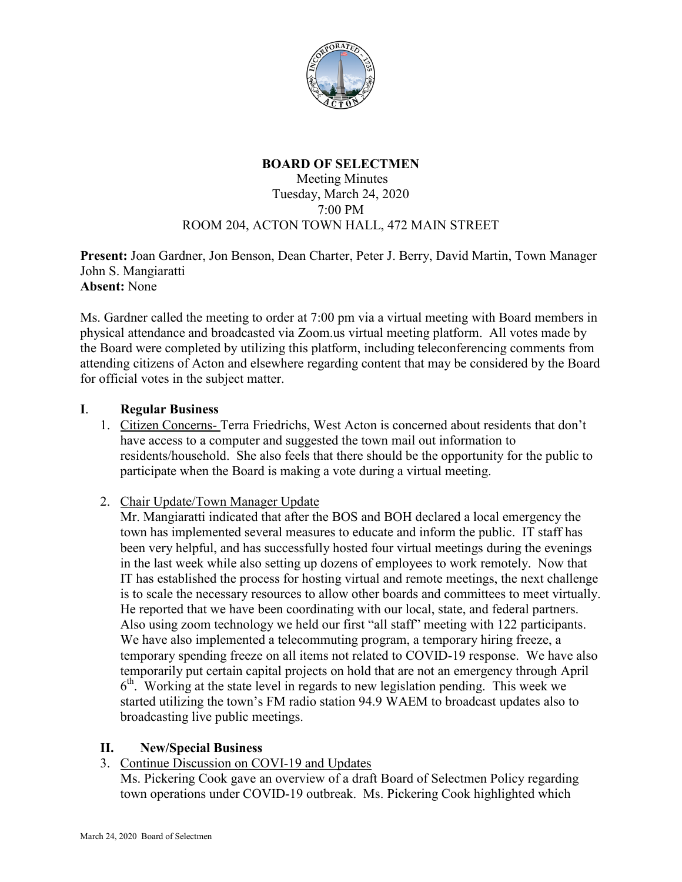

## **BOARD OF SELECTMEN**

#### Meeting Minutes Tuesday, March 24, 2020 7:00 PM ROOM 204, ACTON TOWN HALL, 472 MAIN STREET

**Present:** Joan Gardner, Jon Benson, Dean Charter, Peter J. Berry, David Martin, Town Manager John S. Mangiaratti **Absent:** None

Ms. Gardner called the meeting to order at 7:00 pm via a virtual meeting with Board members in physical attendance and broadcasted via Zoom.us virtual meeting platform. All votes made by the Board were completed by utilizing this platform, including teleconferencing comments from attending citizens of Acton and elsewhere regarding content that may be considered by the Board for official votes in the subject matter.

#### **I**. **Regular Business**

- 1. Citizen Concerns- Terra Friedrichs, West Acton is concerned about residents that don't have access to a computer and suggested the town mail out information to residents/household. She also feels that there should be the opportunity for the public to participate when the Board is making a vote during a virtual meeting.
- 2. Chair Update/Town Manager Update

Mr. Mangiaratti indicated that after the BOS and BOH declared a local emergency the town has implemented several measures to educate and inform the public. IT staff has been very helpful, and has successfully hosted four virtual meetings during the evenings in the last week while also setting up dozens of employees to work remotely. Now that IT has established the process for hosting virtual and remote meetings, the next challenge is to scale the necessary resources to allow other boards and committees to meet virtually. He reported that we have been coordinating with our local, state, and federal partners. Also using zoom technology we held our first "all staff" meeting with 122 participants. We have also implemented a telecommuting program, a temporary hiring freeze, a temporary spending freeze on all items not related to COVID-19 response. We have also temporarily put certain capital projects on hold that are not an emergency through April 6th. Working at the state level in regards to new legislation pending. This week we started utilizing the town's FM radio station 94.9 WAEM to broadcast updates also to broadcasting live public meetings.

### **II. New/Special Business**

3. Continue Discussion on COVI-19 and Updates

Ms. Pickering Cook gave an overview of a draft Board of Selectmen Policy regarding town operations under COVID-19 outbreak. Ms. Pickering Cook highlighted which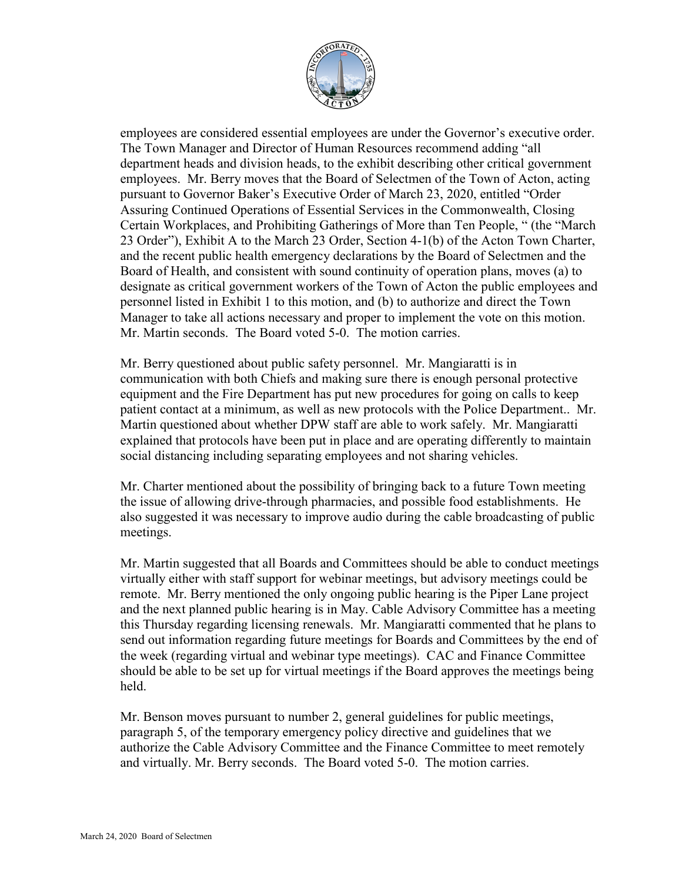

employees are considered essential employees are under the Governor's executive order. The Town Manager and Director of Human Resources recommend adding "all department heads and division heads, to the exhibit describing other critical government employees. Mr. Berry moves that the Board of Selectmen of the Town of Acton, acting pursuant to Governor Baker's Executive Order of March 23, 2020, entitled "Order Assuring Continued Operations of Essential Services in the Commonwealth, Closing Certain Workplaces, and Prohibiting Gatherings of More than Ten People, " (the "March 23 Order"), Exhibit A to the March 23 Order, Section 4-1(b) of the Acton Town Charter, and the recent public health emergency declarations by the Board of Selectmen and the Board of Health, and consistent with sound continuity of operation plans, moves (a) to designate as critical government workers of the Town of Acton the public employees and personnel listed in Exhibit 1 to this motion, and (b) to authorize and direct the Town Manager to take all actions necessary and proper to implement the vote on this motion. Mr. Martin seconds. The Board voted 5-0. The motion carries.

Mr. Berry questioned about public safety personnel. Mr. Mangiaratti is in communication with both Chiefs and making sure there is enough personal protective equipment and the Fire Department has put new procedures for going on calls to keep patient contact at a minimum, as well as new protocols with the Police Department.. Mr. Martin questioned about whether DPW staff are able to work safely. Mr. Mangiaratti explained that protocols have been put in place and are operating differently to maintain social distancing including separating employees and not sharing vehicles.

Mr. Charter mentioned about the possibility of bringing back to a future Town meeting the issue of allowing drive-through pharmacies, and possible food establishments. He also suggested it was necessary to improve audio during the cable broadcasting of public meetings.

Mr. Martin suggested that all Boards and Committees should be able to conduct meetings virtually either with staff support for webinar meetings, but advisory meetings could be remote. Mr. Berry mentioned the only ongoing public hearing is the Piper Lane project and the next planned public hearing is in May. Cable Advisory Committee has a meeting this Thursday regarding licensing renewals. Mr. Mangiaratti commented that he plans to send out information regarding future meetings for Boards and Committees by the end of the week (regarding virtual and webinar type meetings). CAC and Finance Committee should be able to be set up for virtual meetings if the Board approves the meetings being held.

Mr. Benson moves pursuant to number 2, general guidelines for public meetings, paragraph 5, of the temporary emergency policy directive and guidelines that we authorize the Cable Advisory Committee and the Finance Committee to meet remotely and virtually. Mr. Berry seconds. The Board voted 5-0. The motion carries.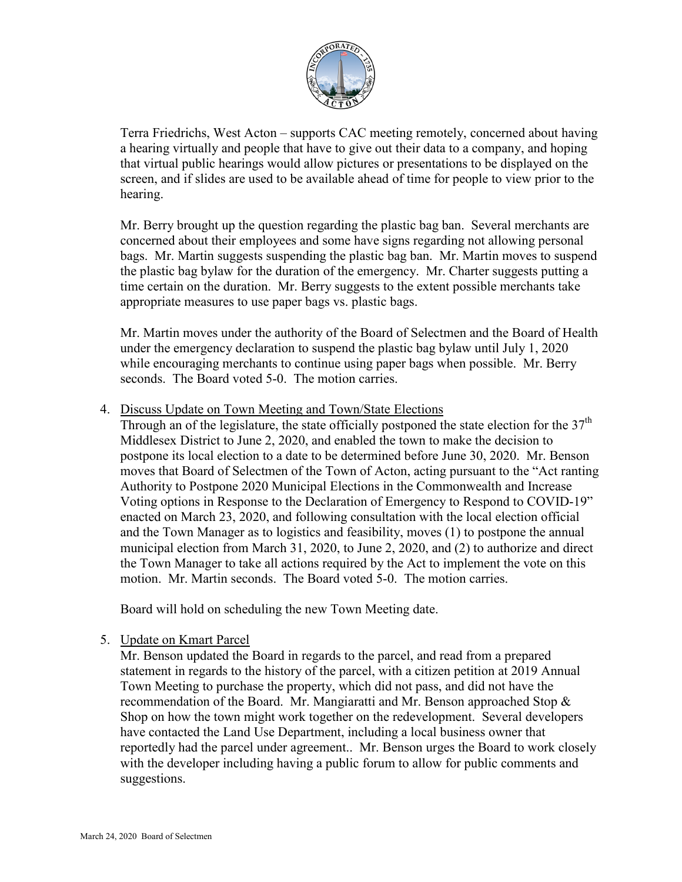

Terra Friedrichs, West Acton – supports CAC meeting remotely, concerned about having a hearing virtually and people that have to give out their data to a company, and hoping that virtual public hearings would allow pictures or presentations to be displayed on the screen, and if slides are used to be available ahead of time for people to view prior to the hearing.

Mr. Berry brought up the question regarding the plastic bag ban. Several merchants are concerned about their employees and some have signs regarding not allowing personal bags. Mr. Martin suggests suspending the plastic bag ban. Mr. Martin moves to suspend the plastic bag bylaw for the duration of the emergency. Mr. Charter suggests putting a time certain on the duration. Mr. Berry suggests to the extent possible merchants take appropriate measures to use paper bags vs. plastic bags.

Mr. Martin moves under the authority of the Board of Selectmen and the Board of Health under the emergency declaration to suspend the plastic bag bylaw until July 1, 2020 while encouraging merchants to continue using paper bags when possible. Mr. Berry seconds. The Board voted 5-0. The motion carries.

4. Discuss Update on Town Meeting and Town/State Elections

Through an of the legislature, the state officially postponed the state election for the  $37<sup>th</sup>$ Middlesex District to June 2, 2020, and enabled the town to make the decision to postpone its local election to a date to be determined before June 30, 2020. Mr. Benson moves that Board of Selectmen of the Town of Acton, acting pursuant to the "Act ranting Authority to Postpone 2020 Municipal Elections in the Commonwealth and Increase Voting options in Response to the Declaration of Emergency to Respond to COVID-19" enacted on March 23, 2020, and following consultation with the local election official and the Town Manager as to logistics and feasibility, moves (1) to postpone the annual municipal election from March 31, 2020, to June 2, 2020, and (2) to authorize and direct the Town Manager to take all actions required by the Act to implement the vote on this motion. Mr. Martin seconds. The Board voted 5-0. The motion carries.

Board will hold on scheduling the new Town Meeting date.

5. Update on Kmart Parcel

Mr. Benson updated the Board in regards to the parcel, and read from a prepared statement in regards to the history of the parcel, with a citizen petition at 2019 Annual Town Meeting to purchase the property, which did not pass, and did not have the recommendation of the Board. Mr. Mangiaratti and Mr. Benson approached Stop  $\&$ Shop on how the town might work together on the redevelopment. Several developers have contacted the Land Use Department, including a local business owner that reportedly had the parcel under agreement.. Mr. Benson urges the Board to work closely with the developer including having a public forum to allow for public comments and suggestions.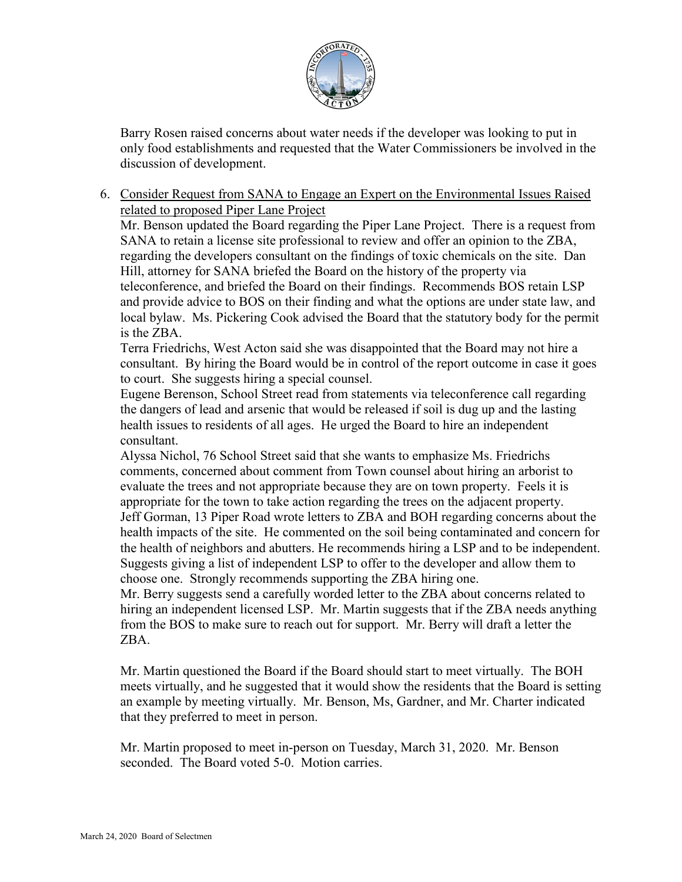

Barry Rosen raised concerns about water needs if the developer was looking to put in only food establishments and requested that the Water Commissioners be involved in the discussion of development.

6. Consider Request from SANA to Engage an Expert on the Environmental Issues Raised related to proposed Piper Lane Project

Mr. Benson updated the Board regarding the Piper Lane Project. There is a request from SANA to retain a license site professional to review and offer an opinion to the ZBA, regarding the developers consultant on the findings of toxic chemicals on the site. Dan Hill, attorney for SANA briefed the Board on the history of the property via teleconference, and briefed the Board on their findings. Recommends BOS retain LSP and provide advice to BOS on their finding and what the options are under state law, and local bylaw. Ms. Pickering Cook advised the Board that the statutory body for the permit is the ZBA.

Terra Friedrichs, West Acton said she was disappointed that the Board may not hire a consultant. By hiring the Board would be in control of the report outcome in case it goes to court. She suggests hiring a special counsel.

Eugene Berenson, School Street read from statements via teleconference call regarding the dangers of lead and arsenic that would be released if soil is dug up and the lasting health issues to residents of all ages. He urged the Board to hire an independent consultant.

Alyssa Nichol, 76 School Street said that she wants to emphasize Ms. Friedrichs comments, concerned about comment from Town counsel about hiring an arborist to evaluate the trees and not appropriate because they are on town property. Feels it is appropriate for the town to take action regarding the trees on the adjacent property. Jeff Gorman, 13 Piper Road wrote letters to ZBA and BOH regarding concerns about the health impacts of the site. He commented on the soil being contaminated and concern for the health of neighbors and abutters. He recommends hiring a LSP and to be independent. Suggests giving a list of independent LSP to offer to the developer and allow them to choose one. Strongly recommends supporting the ZBA hiring one.

Mr. Berry suggests send a carefully worded letter to the ZBA about concerns related to hiring an independent licensed LSP. Mr. Martin suggests that if the ZBA needs anything from the BOS to make sure to reach out for support. Mr. Berry will draft a letter the ZBA.

Mr. Martin questioned the Board if the Board should start to meet virtually. The BOH meets virtually, and he suggested that it would show the residents that the Board is setting an example by meeting virtually. Mr. Benson, Ms, Gardner, and Mr. Charter indicated that they preferred to meet in person.

Mr. Martin proposed to meet in-person on Tuesday, March 31, 2020. Mr. Benson seconded. The Board voted 5-0. Motion carries.